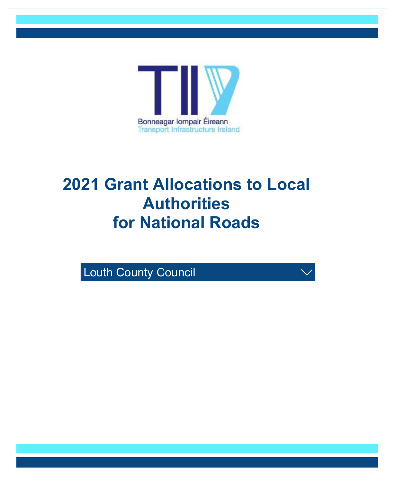

## **2021 Grant Allocations to Local Authorities for National Roads**

/

**Louth County Council**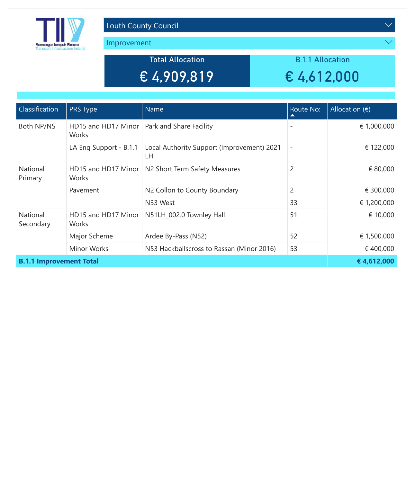

Improvement

Total Allocation € 4,909,819

B.1.1 Allocation € 4,612,000

| Classification                 | PRS Type                                               | Name                                                | Route No:<br>▴           | Allocation $(\epsilon)$ |
|--------------------------------|--------------------------------------------------------|-----------------------------------------------------|--------------------------|-------------------------|
| Both NP/NS                     | HD15 and HD17 Minor   Park and Share Facility<br>Works |                                                     | $\overline{\phantom{a}}$ | € 1,000,000             |
|                                | LA Eng Support - B.1.1                                 | Local Authority Support (Improvement) 2021<br>LН    | $\overline{\phantom{a}}$ | € 122,000               |
| National<br>Primary            | Works                                                  | HD15 and HD17 Minor   N2 Short Term Safety Measures | $\overline{2}$           | € 80,000                |
|                                | Pavement                                               | N2 Collon to County Boundary                        | $\overline{2}$           | € 300,000               |
|                                |                                                        | N33 West                                            | 33                       | € 1,200,000             |
| National<br>Secondary          | HD15 and HD17 Minor<br>Works                           | N51LH_002.0 Townley Hall                            | 51                       | € 10,000                |
|                                | Major Scheme                                           | Ardee By-Pass (N52)                                 | 52                       | € 1,500,000             |
|                                | <b>Minor Works</b>                                     | N53 Hackballscross to Rassan (Minor 2016)           | 53                       | €400,000                |
| <b>B.1.1 Improvement Total</b> | €4,612,000                                             |                                                     |                          |                         |